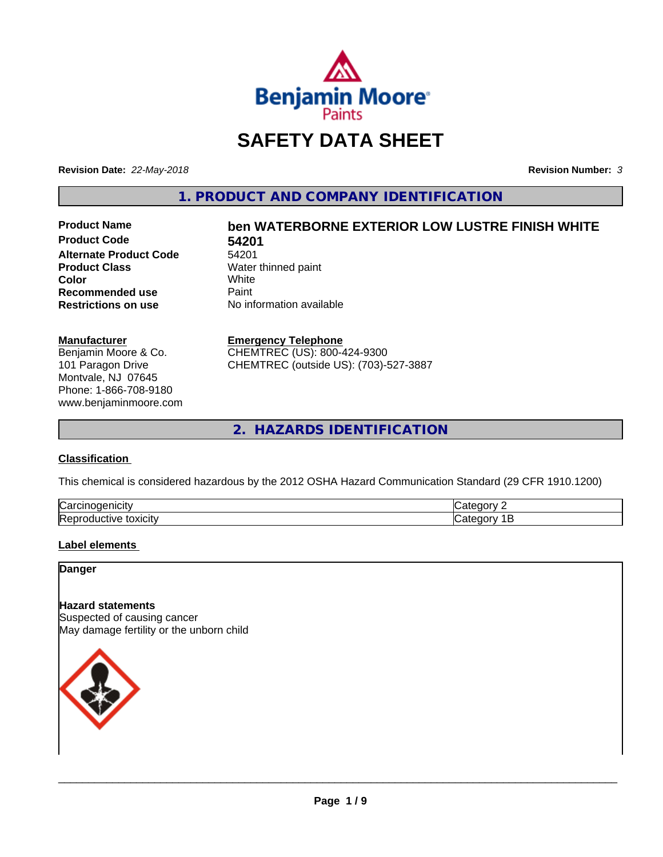

# **SAFETY DATA SHEET**

**Revision Date:** *22-May-2018* **Revision Number:** *3*

**1. PRODUCT AND COMPANY IDENTIFICATION**

**Product Code 54201 Alternate Product Code** 54201<br>**Product Class** Water **Color** White White **Recommended use** Paint<br> **Restrictions on use** No inf

# **Product Name ben WATERBORNE EXTERIOR LOW LUSTRE FINISH WHITE**

**Water thinned paint**<br>White **No information available** 

#### **Manufacturer**

Benjamin Moore & Co. 101 Paragon Drive Montvale, NJ 07645 Phone: 1-866-708-9180 www.benjaminmoore.com

#### **Emergency Telephone**

CHEMTREC (US): 800-424-9300 CHEMTREC (outside US): (703)-527-3887

**2. HAZARDS IDENTIFICATION**

#### **Classification**

This chemical is considered hazardous by the 2012 OSHA Hazard Communication Standard (29 CFR 1910.1200)

| ∽<br>/Car<br>110       | "<br>$  -$ |
|------------------------|------------|
| lRer<br>.<br>- XICIIV. | $\epsilon$ |

#### **Label elements**

**Danger**

#### **Hazard statements**

Suspected of causing cancer May damage fertility or the unborn child

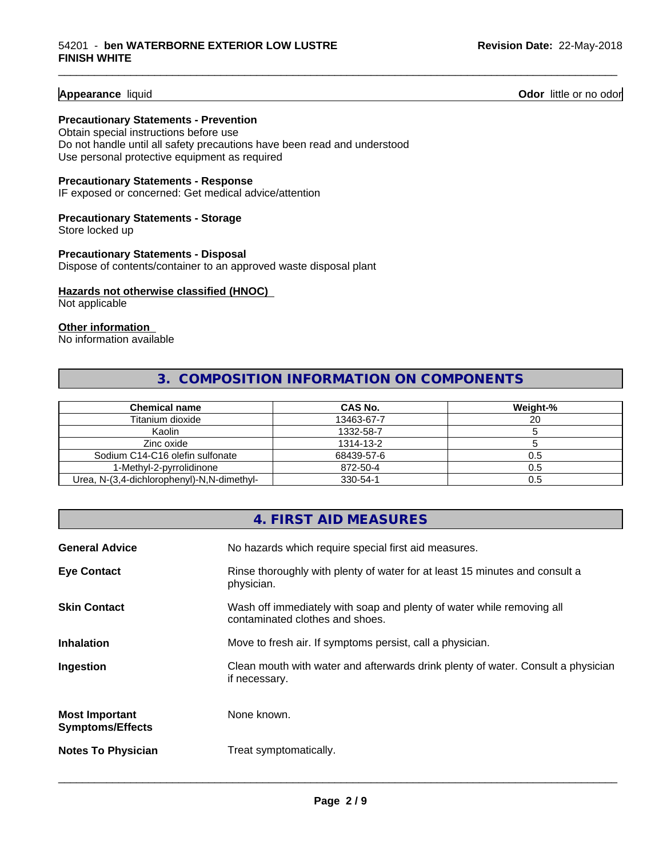**Appearance** liquid **Contract Contract Contract Contract Contract Contract Contract Contract Contract Contract Contract Contract Contract Contract Contract Contract Contract Contract Contract Contract Contract Contract Con** 

#### **Precautionary Statements - Prevention**

Obtain special instructions before use Do not handle until all safety precautions have been read and understood Use personal protective equipment as required

#### **Precautionary Statements - Response**

IF exposed or concerned: Get medical advice/attention

### **Precautionary Statements - Storage**

Store locked up

#### **Precautionary Statements - Disposal** Dispose of contents/container to an approved waste disposal plant

#### **Hazards not otherwise classified (HNOC)**

Not applicable

#### **Other information**

No information available

# **3. COMPOSITION INFORMATION ON COMPONENTS**

\_\_\_\_\_\_\_\_\_\_\_\_\_\_\_\_\_\_\_\_\_\_\_\_\_\_\_\_\_\_\_\_\_\_\_\_\_\_\_\_\_\_\_\_\_\_\_\_\_\_\_\_\_\_\_\_\_\_\_\_\_\_\_\_\_\_\_\_\_\_\_\_\_\_\_\_\_\_\_\_\_\_\_\_\_\_\_\_\_\_\_\_\_

| <b>Chemical name</b>                       | CAS No.    | Weight-% |
|--------------------------------------------|------------|----------|
| Titanium dioxide                           | 13463-67-7 | 20       |
| Kaolin                                     | 1332-58-7  |          |
| Zinc oxide                                 | 1314-13-2  |          |
| Sodium C14-C16 olefin sulfonate            | 68439-57-6 | 0.5      |
| 1-Methyl-2-pyrrolidinone                   | 872-50-4   | 0.5      |
| Urea, N-(3,4-dichlorophenyl)-N,N-dimethyl- | 330-54-1   | 0.5      |

# **4. FIRST AID MEASURES General Advice** No hazards which require special first aid measures. **Eye Contact** Rinse thoroughly with plenty of water for at least 15 minutes and consult a physician. **Skin Contact** Wash off immediately with soap and plenty of water while removing all contaminated clothes and shoes. **Inhalation** Move to fresh air. If symptoms persist, call a physician. **Ingestion Example 2** Clean mouth with water and afterwards drink plenty of water. Consult a physician if necessary. **Most Important Symptoms/Effects** None known. **Notes To Physician** Treat symptomatically.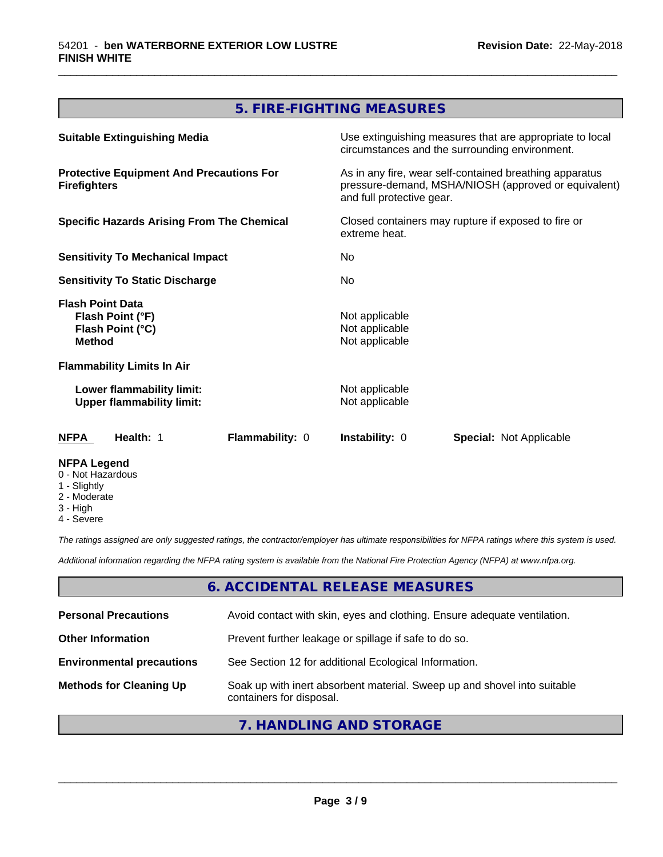# **5. FIRE-FIGHTING MEASURES**

\_\_\_\_\_\_\_\_\_\_\_\_\_\_\_\_\_\_\_\_\_\_\_\_\_\_\_\_\_\_\_\_\_\_\_\_\_\_\_\_\_\_\_\_\_\_\_\_\_\_\_\_\_\_\_\_\_\_\_\_\_\_\_\_\_\_\_\_\_\_\_\_\_\_\_\_\_\_\_\_\_\_\_\_\_\_\_\_\_\_\_\_\_

| <b>Suitable Extinguishing Media</b>                                              | Use extinguishing measures that are appropriate to local<br>circumstances and the surrounding environment.                                   |  |
|----------------------------------------------------------------------------------|----------------------------------------------------------------------------------------------------------------------------------------------|--|
| <b>Protective Equipment And Precautions For</b><br><b>Firefighters</b>           | As in any fire, wear self-contained breathing apparatus<br>pressure-demand, MSHA/NIOSH (approved or equivalent)<br>and full protective gear. |  |
| <b>Specific Hazards Arising From The Chemical</b>                                | Closed containers may rupture if exposed to fire or<br>extreme heat.<br>No.<br>No.                                                           |  |
| <b>Sensitivity To Mechanical Impact</b>                                          |                                                                                                                                              |  |
| <b>Sensitivity To Static Discharge</b>                                           |                                                                                                                                              |  |
| <b>Flash Point Data</b><br>Flash Point (°F)<br>Flash Point (°C)<br><b>Method</b> | Not applicable<br>Not applicable<br>Not applicable                                                                                           |  |
| <b>Flammability Limits In Air</b>                                                |                                                                                                                                              |  |
| Lower flammability limit:<br><b>Upper flammability limit:</b>                    | Not applicable<br>Not applicable                                                                                                             |  |
| Flammability: 0<br>Health: 1<br>NFPA                                             | <b>Instability: 0</b><br><b>Special: Not Applicable</b>                                                                                      |  |
| <b>NFPA Legend</b><br>0 - Not Hazardous<br>1 - Slightly                          |                                                                                                                                              |  |

- 2 Moderate
- 
- 3 High
- 4 Severe

*The ratings assigned are only suggested ratings, the contractor/employer has ultimate responsibilities for NFPA ratings where this system is used.*

*Additional information regarding the NFPA rating system is available from the National Fire Protection Agency (NFPA) at www.nfpa.org.*

#### **6. ACCIDENTAL RELEASE MEASURES**

| <b>Personal Precautions</b>      | Avoid contact with skin, eyes and clothing. Ensure adequate ventilation.                             |
|----------------------------------|------------------------------------------------------------------------------------------------------|
| <b>Other Information</b>         | Prevent further leakage or spillage if safe to do so.                                                |
| <b>Environmental precautions</b> | See Section 12 for additional Ecological Information.                                                |
| <b>Methods for Cleaning Up</b>   | Soak up with inert absorbent material. Sweep up and shovel into suitable<br>containers for disposal. |

#### **7. HANDLING AND STORAGE**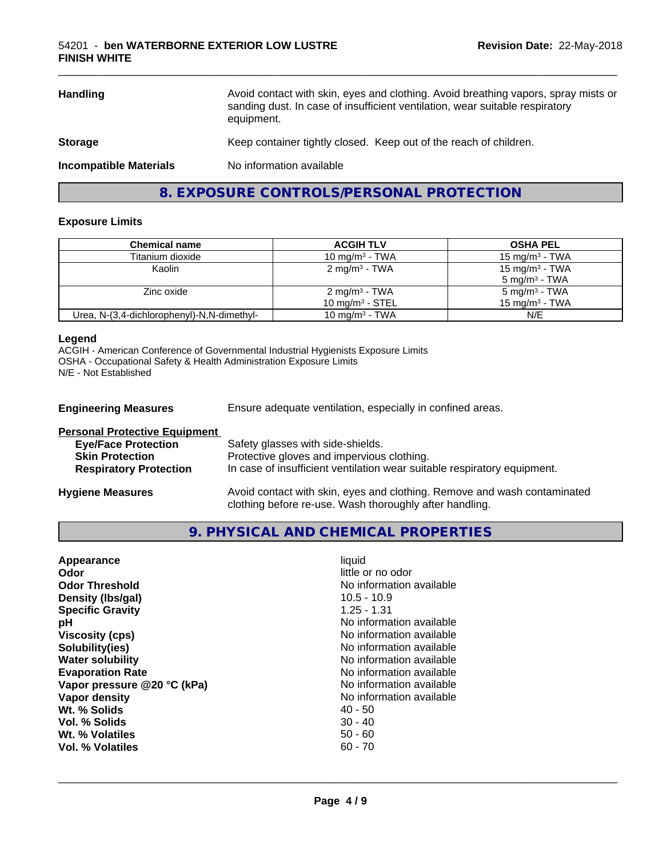| <b>Handling</b>               | Avoid contact with skin, eyes and clothing. Avoid breathing vapors, spray mists or<br>sanding dust. In case of insufficient ventilation, wear suitable respiratory<br>equipment. |
|-------------------------------|----------------------------------------------------------------------------------------------------------------------------------------------------------------------------------|
| <b>Storage</b>                | Keep container tightly closed. Keep out of the reach of children.                                                                                                                |
| <b>Incompatible Materials</b> | No information available                                                                                                                                                         |
|                               |                                                                                                                                                                                  |

**8. EXPOSURE CONTROLS/PERSONAL PROTECTION**

#### **Exposure Limits**

| Chemical name                              | <b>ACGIH TLV</b>                               | <b>OSHA PEL</b>                                        |
|--------------------------------------------|------------------------------------------------|--------------------------------------------------------|
| Titanium dioxide                           | 10 mg/m $3$ - TWA                              | 15 mg/m $3$ - TWA                                      |
| Kaolin                                     | $2 \text{ mg/m}^3$ - TWA                       | 15 mg/m <sup>3</sup> - TWA<br>$5 \text{ mg/m}^3$ - TWA |
| Zinc oxide                                 | 2 mg/m <sup>3</sup> - TWA<br>10 $mq/m3$ - STEL | 5 mg/m <sup>3</sup> - TWA<br>15 mg/m $3$ - TWA         |
| Urea, N-(3,4-dichlorophenyl)-N,N-dimethyl- | 10 mg/m $3$ - TWA                              | N/E                                                    |

#### **Legend**

ACGIH - American Conference of Governmental Industrial Hygienists Exposure Limits OSHA - Occupational Safety & Health Administration Exposure Limits N/E - Not Established

| <b>Engineering Measures</b>          | Ensure adequate ventilation, especially in confined areas.                             |
|--------------------------------------|----------------------------------------------------------------------------------------|
| <b>Personal Protective Equipment</b> |                                                                                        |
| <b>Eye/Face Protection</b>           | Safety glasses with side-shields.                                                      |
| <b>Skin Protection</b>               | Protective gloves and impervious clothing.                                             |
| <b>Respiratory Protection</b>        | In case of insufficient ventilation wear suitable respiratory equipment.               |
| lleedana Maaareeda                   | المفصولوموميوم وامون الموم وروموه والمواطنة الموم ومربو اوبارام والأرب لمولومه والمزور |

**Hygiene Measures** Avoid contact with skin, eyes and clothing. Remove and wash contaminated clothing before re-use. Wash thoroughly after handling.

**9. PHYSICAL AND CHEMICAL PROPERTIES**

| Appearance                  | liquid                   |
|-----------------------------|--------------------------|
| Odor                        | little or no odor        |
| <b>Odor Threshold</b>       | No information available |
| Density (Ibs/gal)           | $10.5 - 10.9$            |
| <b>Specific Gravity</b>     | $1.25 - 1.31$            |
| рH                          | No information available |
| <b>Viscosity (cps)</b>      | No information available |
| Solubility(ies)             | No information available |
| <b>Water solubility</b>     | No information available |
| <b>Evaporation Rate</b>     | No information available |
| Vapor pressure @20 °C (kPa) | No information available |
| Vapor density               | No information available |
| Wt. % Solids                | 40 - 50                  |
| Vol. % Solids               | $30 - 40$                |
| Wt. % Volatiles             | $50 - 60$                |
| Vol. % Volatiles            | 60 - 70                  |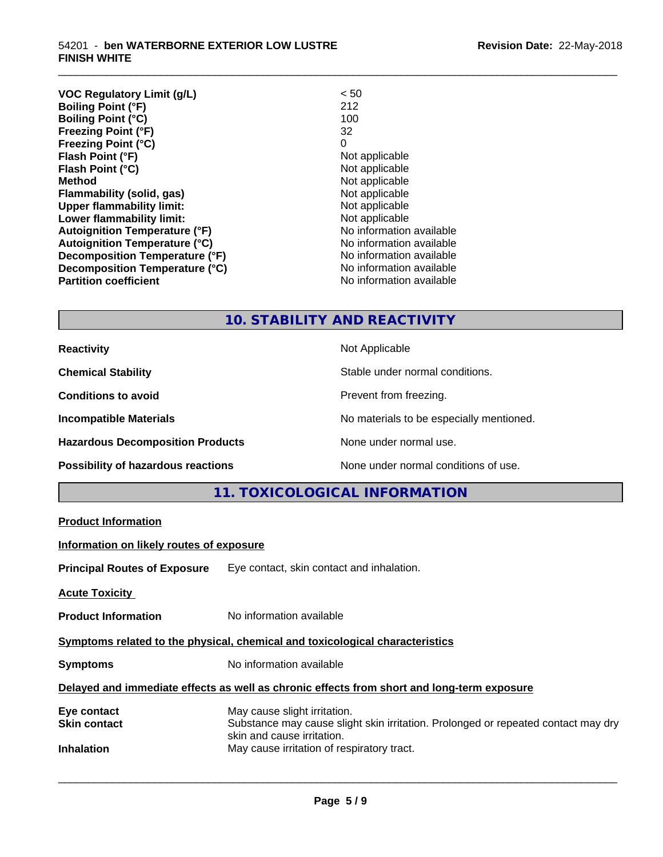#### 54201 - **ben WATERBORNE EXTERIOR LOW LUSTRE FINISH WHITE**

| <b>VOC Regulatory Limit (g/L)</b>    | < 50                     |
|--------------------------------------|--------------------------|
| <b>Boiling Point (°F)</b>            | 212                      |
| <b>Boiling Point (°C)</b>            | 100                      |
| <b>Freezing Point (°F)</b>           | 32                       |
| <b>Freezing Point (°C)</b>           | 0                        |
| Flash Point (°F)                     | Not applicable           |
| Flash Point (°C)                     | Not applicable           |
| Method                               | Not applicable           |
| Flammability (solid, gas)            | Not applicable           |
| <b>Upper flammability limit:</b>     | Not applicable           |
| Lower flammability limit:            | Not applicable           |
| <b>Autoignition Temperature (°F)</b> | No information available |
| <b>Autoignition Temperature (°C)</b> | No information available |
| Decomposition Temperature (°F)       | No information available |
| Decomposition Temperature (°C)       | No information available |
| <b>Partition coefficient</b>         | No information available |
|                                      |                          |

# **10. STABILITY AND REACTIVITY**

\_\_\_\_\_\_\_\_\_\_\_\_\_\_\_\_\_\_\_\_\_\_\_\_\_\_\_\_\_\_\_\_\_\_\_\_\_\_\_\_\_\_\_\_\_\_\_\_\_\_\_\_\_\_\_\_\_\_\_\_\_\_\_\_\_\_\_\_\_\_\_\_\_\_\_\_\_\_\_\_\_\_\_\_\_\_\_\_\_\_\_\_\_

| <b>Reactivity</b>                       | Not Applicable                           |
|-----------------------------------------|------------------------------------------|
| <b>Chemical Stability</b>               | Stable under normal conditions.          |
| <b>Conditions to avoid</b>              | Prevent from freezing.                   |
| <b>Incompatible Materials</b>           | No materials to be especially mentioned. |
| <b>Hazardous Decomposition Products</b> | None under normal use.                   |
| Possibility of hazardous reactions      | None under normal conditions of use.     |

# **11. TOXICOLOGICAL INFORMATION**

|                                                                              | LE. TOXICOLOGICAL INFORMATION                                                                                   |  |
|------------------------------------------------------------------------------|-----------------------------------------------------------------------------------------------------------------|--|
| <b>Product Information</b>                                                   |                                                                                                                 |  |
| Information on likely routes of exposure                                     |                                                                                                                 |  |
|                                                                              | <b>Principal Routes of Exposure</b> Eye contact, skin contact and inhalation.                                   |  |
| <b>Acute Toxicity</b>                                                        |                                                                                                                 |  |
| <b>Product Information</b>                                                   | No information available                                                                                        |  |
| Symptoms related to the physical, chemical and toxicological characteristics |                                                                                                                 |  |
| <b>Symptoms</b>                                                              | No information available                                                                                        |  |
|                                                                              | Delayed and immediate effects as well as chronic effects from short and long-term exposure                      |  |
| Eye contact                                                                  | May cause slight irritation.                                                                                    |  |
| <b>Skin contact</b>                                                          | Substance may cause slight skin irritation. Prolonged or repeated contact may dry<br>skin and cause irritation. |  |
| <b>Inhalation</b>                                                            | May cause irritation of respiratory tract.                                                                      |  |
|                                                                              |                                                                                                                 |  |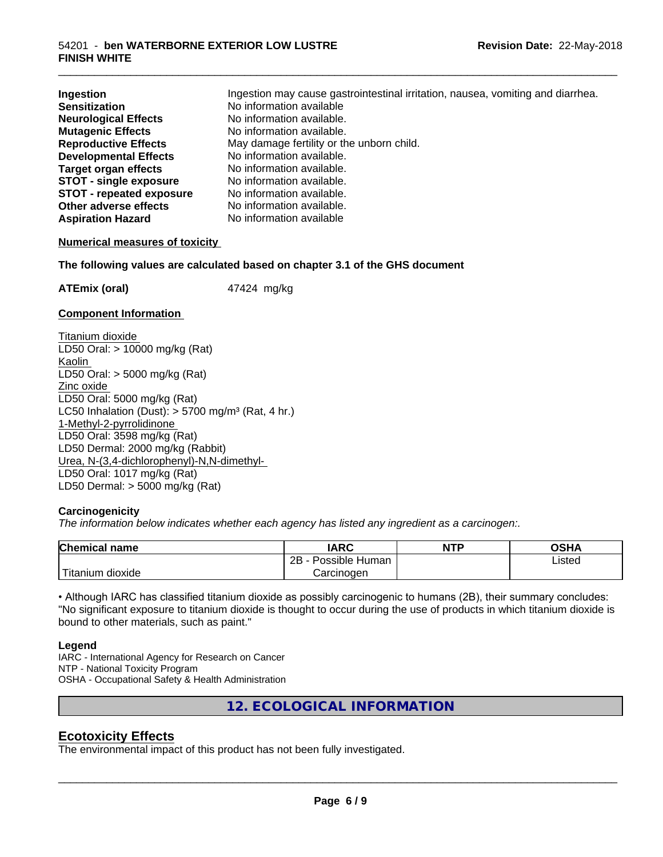| Ingestion                       | Ingestion may cause gastrointestinal irritation, nausea, vomiting and diarrhea. |
|---------------------------------|---------------------------------------------------------------------------------|
| <b>Sensitization</b>            | No information available                                                        |
| <b>Neurological Effects</b>     | No information available.                                                       |
| <b>Mutagenic Effects</b>        | No information available.                                                       |
| <b>Reproductive Effects</b>     | May damage fertility or the unborn child.                                       |
| <b>Developmental Effects</b>    | No information available.                                                       |
| <b>Target organ effects</b>     | No information available.                                                       |
| <b>STOT - single exposure</b>   | No information available.                                                       |
| <b>STOT - repeated exposure</b> | No information available.                                                       |
| Other adverse effects           | No information available.                                                       |
| <b>Aspiration Hazard</b>        | No information available                                                        |

\_\_\_\_\_\_\_\_\_\_\_\_\_\_\_\_\_\_\_\_\_\_\_\_\_\_\_\_\_\_\_\_\_\_\_\_\_\_\_\_\_\_\_\_\_\_\_\_\_\_\_\_\_\_\_\_\_\_\_\_\_\_\_\_\_\_\_\_\_\_\_\_\_\_\_\_\_\_\_\_\_\_\_\_\_\_\_\_\_\_\_\_\_

#### **Numerical measures of toxicity**

**The following values are calculated based on chapter 3.1 of the GHS document**

**ATEmix (oral)** 47424 mg/kg

#### **Component Information**

Titanium dioxide LD50 Oral: > 10000 mg/kg (Rat) Kaolin LD50 Oral: > 5000 mg/kg (Rat) Zinc oxide LD50 Oral: 5000 mg/kg (Rat) LC50 Inhalation (Dust):  $> 5700$  mg/m<sup>3</sup> (Rat, 4 hr.) 1-Methyl-2-pyrrolidinone LD50 Oral: 3598 mg/kg (Rat) LD50 Dermal: 2000 mg/kg (Rabbit) Urea, N-(3,4-dichlorophenyl)-N,N-dimethyl- LD50 Oral: 1017 mg/kg (Rat) LD50 Dermal: > 5000 mg/kg (Rat)

#### **Carcinogenicity**

*The information below indicateswhether each agency has listed any ingredient as a carcinogen:.*

| <b>Chemical</b><br>name       | <b>IARC</b>                      | <b>NTP</b> | ດເ⊔∧<br>U∂⊓⊬   |
|-------------------------------|----------------------------------|------------|----------------|
|                               | . .<br>2B<br>: Human<br>Possible |            | Listed<br>____ |
| <br>dioxide<br><b>itanium</b> | Carcinogen                       |            |                |

• Although IARC has classified titanium dioxide as possibly carcinogenic to humans (2B), their summary concludes: "No significant exposure to titanium dioxide is thought to occur during the use of products in which titanium dioxide is bound to other materials, such as paint."

#### **Legend**

IARC - International Agency for Research on Cancer NTP - National Toxicity Program OSHA - Occupational Safety & Health Administration

**12. ECOLOGICAL INFORMATION**

#### **Ecotoxicity Effects**

The environmental impact of this product has not been fully investigated.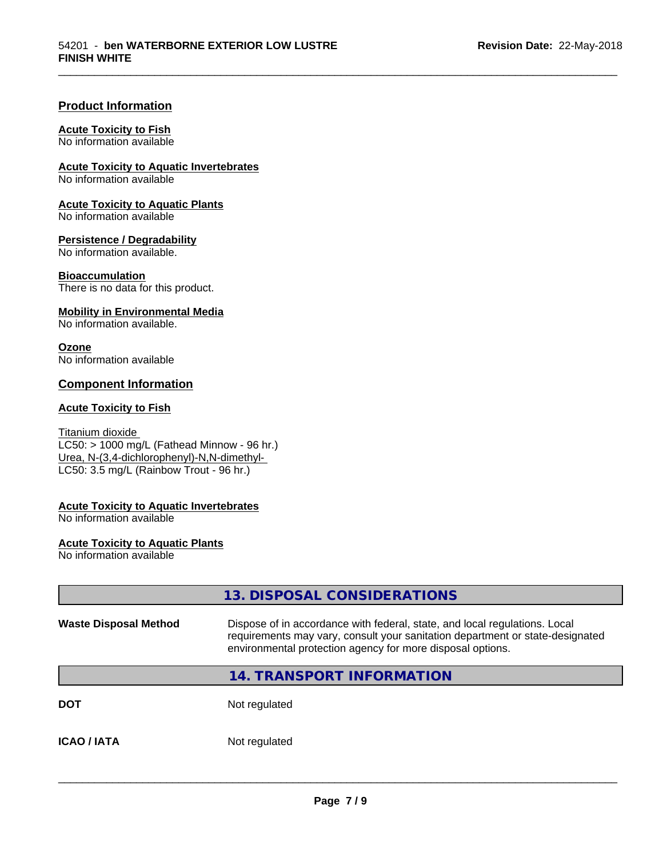\_\_\_\_\_\_\_\_\_\_\_\_\_\_\_\_\_\_\_\_\_\_\_\_\_\_\_\_\_\_\_\_\_\_\_\_\_\_\_\_\_\_\_\_\_\_\_\_\_\_\_\_\_\_\_\_\_\_\_\_\_\_\_\_\_\_\_\_\_\_\_\_\_\_\_\_\_\_\_\_\_\_\_\_\_\_\_\_\_\_\_\_\_

#### **Product Information**

#### **Acute Toxicity to Fish**

No information available

**Acute Toxicity to Aquatic Invertebrates**

No information available

**Acute Toxicity to Aquatic Plants** No information available

**Persistence / Degradability**

No information available.

**Bioaccumulation**

There is no data for this product.

#### **Mobility in Environmental Media**

No information available.

#### **Ozone**

No information available

#### **Component Information**

#### **Acute Toxicity to Fish**

Titanium dioxide  $\overline{\text{LC50:}}$  > 1000 mg/L (Fathead Minnow - 96 hr.) Urea, N-(3,4-dichlorophenyl)-N,N-dimethyl- LC50: 3.5 mg/L (Rainbow Trout - 96 hr.)

#### **Acute Toxicity to Aquatic Invertebrates**

No information available

#### **Acute Toxicity to Aquatic Plants**

No information available

|                              | 13. DISPOSAL CONSIDERATIONS                                                                                                                                                                                               |  |
|------------------------------|---------------------------------------------------------------------------------------------------------------------------------------------------------------------------------------------------------------------------|--|
| <b>Waste Disposal Method</b> | Dispose of in accordance with federal, state, and local regulations. Local<br>requirements may vary, consult your sanitation department or state-designated<br>environmental protection agency for more disposal options. |  |
|                              | 14. TRANSPORT INFORMATION                                                                                                                                                                                                 |  |
| <b>DOT</b>                   | Not regulated                                                                                                                                                                                                             |  |
| <b>ICAO/IATA</b>             | Not regulated                                                                                                                                                                                                             |  |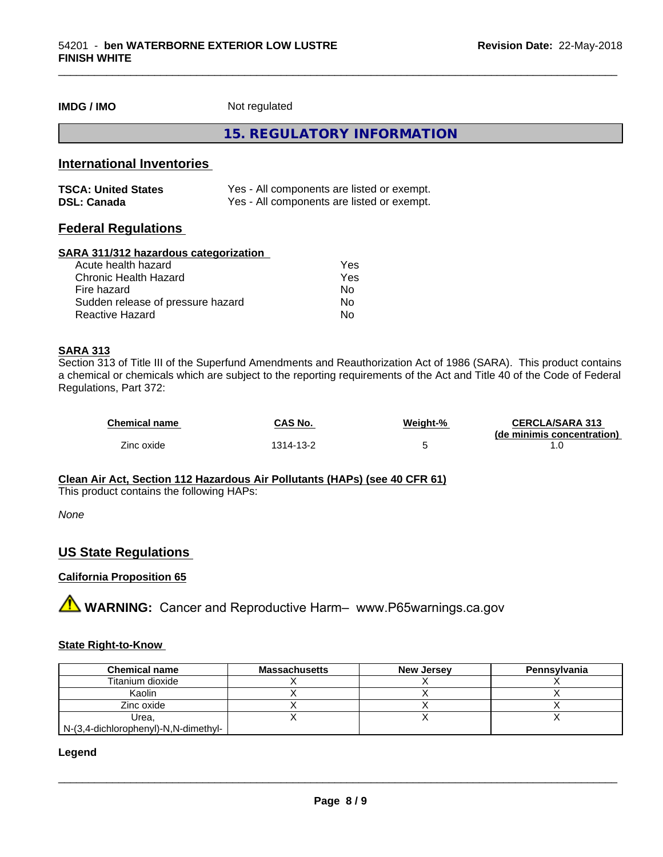#### **IMDG / IMO** Not regulated

**15. REGULATORY INFORMATION**

\_\_\_\_\_\_\_\_\_\_\_\_\_\_\_\_\_\_\_\_\_\_\_\_\_\_\_\_\_\_\_\_\_\_\_\_\_\_\_\_\_\_\_\_\_\_\_\_\_\_\_\_\_\_\_\_\_\_\_\_\_\_\_\_\_\_\_\_\_\_\_\_\_\_\_\_\_\_\_\_\_\_\_\_\_\_\_\_\_\_\_\_\_

#### **International Inventories**

| <b>TSCA: United States</b> | Yes - All components are listed or exempt. |
|----------------------------|--------------------------------------------|
| <b>DSL: Canada</b>         | Yes - All components are listed or exempt. |

#### **Federal Regulations**

#### **SARA 311/312 hazardous categorization**

| Acute health hazard               | Yes |
|-----------------------------------|-----|
| Chronic Health Hazard             | Yes |
| Fire hazard                       | Nο  |
| Sudden release of pressure hazard | N٥  |
| Reactive Hazard                   | Nο  |

#### **SARA 313**

Section 313 of Title III of the Superfund Amendments and Reauthorization Act of 1986 (SARA). This product contains a chemical or chemicals which are subject to the reporting requirements of the Act and Title 40 of the Code of Federal Regulations, Part 372:

| <b>Chemical name</b> | CAS No.   | Weight-% | <b>CERCLA/SARA 313</b><br>(de minimis concentration) |
|----------------------|-----------|----------|------------------------------------------------------|
| Zinc oxide           | 1314-13-2 |          |                                                      |

#### **Clean Air Act,Section 112 Hazardous Air Pollutants (HAPs) (see 40 CFR 61)**

This product contains the following HAPs:

*None*

#### **US State Regulations**

#### **California Proposition 65**

**AVIMARNING:** Cancer and Reproductive Harm– www.P65warnings.ca.gov

#### **State Right-to-Know**

| <b>Chemical name</b>                 | <b>Massachusetts</b> | <b>New Jersey</b> | Pennsylvania |
|--------------------------------------|----------------------|-------------------|--------------|
| Titanium dioxide                     |                      |                   |              |
| Kaolin                               |                      |                   |              |
| Zinc oxide                           |                      |                   |              |
| Urea.                                |                      |                   |              |
| N-(3,4-dichlorophenyl)-N,N-dimethyl- |                      |                   |              |

#### **Legend**